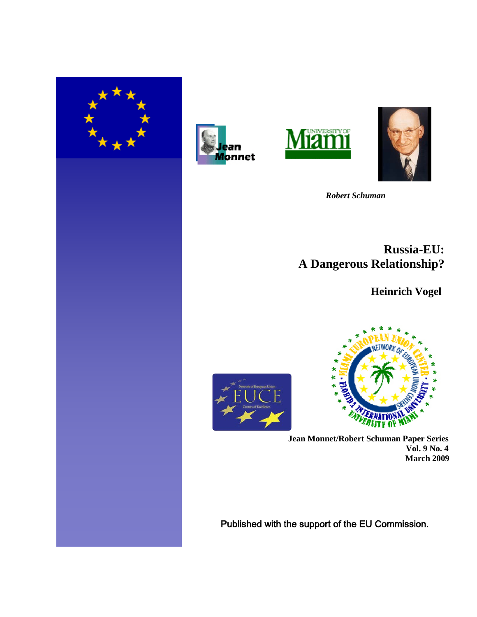







 *Robert Schuman* 

# **Russia-EU: A Dangerous Relationship?**

 **Heinrich Vogel**





**Jean Monnet/Robert Schuman Paper Series Vol. 9 No. 4 March 2009**

Published with the support of the EU Commission.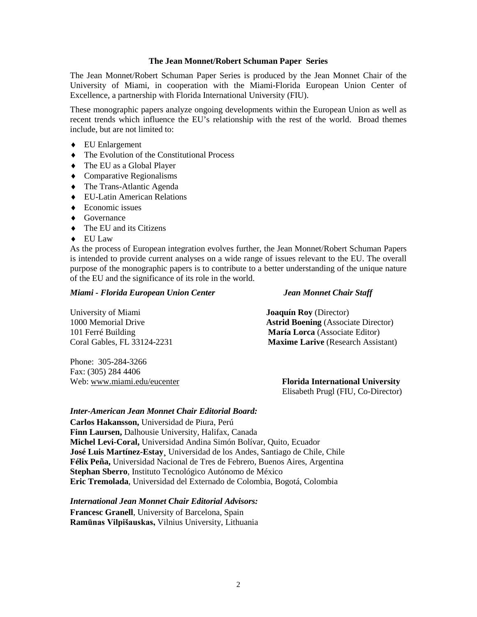## **The Jean Monnet/Robert Schuman Paper Series**

The Jean Monnet/Robert Schuman Paper Series is produced by the Jean Monnet Chair of the University of Miami, in cooperation with the Miami-Florida European Union Center of Excellence, a partnership with Florida International University (FIU).

These monographic papers analyze ongoing developments within the European Union as well as recent trends which influence the EU's relationship with the rest of the world. Broad themes include, but are not limited to:

- ♦ EU Enlargement
- ♦ The Evolution of the Constitutional Process
- ♦ The EU as a Global Player
- ♦ Comparative Regionalisms
- ♦ The Trans-Atlantic Agenda
- ♦ EU-Latin American Relations
- $\triangle$  Economic issues
- ♦ Governance
- ♦ The EU and its Citizens
- ♦ EU Law

As the process of European integration evolves further, the Jean Monnet/Robert Schuman Papers is intended to provide current analyses on a wide range of issues relevant to the EU. The overall purpose of the monographic papers is to contribute to a better understanding of the unique nature of the EU and the significance of its role in the world.

## *Miami - Florida European Union Center Jean Monnet Chair Staff*

| University of Miami         | <b>Joaquín Roy</b> (Director)              |
|-----------------------------|--------------------------------------------|
| 1000 Memorial Drive         | <b>Astrid Boening</b> (Associate Director) |
| 101 Ferré Building          | <b>María Lorca</b> (Associate Editor)      |
| Coral Gables, FL 33124-2231 | <b>Maxime Larive</b> (Research Assistant)  |

Phone: 305-284-3266 Fax: (305) 284 4406

Web: [www.miami.edu/eucenter](http://www.miami.edu/eucenter) **Florida International University** Elisabeth Prugl (FIU, Co-Director)

## *Inter-American Jean Monnet Chair Editorial Board:*

**Carlos Hakansson,** Universidad de Piura, Perú **Finn Laursen,** Dalhousie University, Halifax, Canada **Michel Levi-Coral,** Universidad Andina Simón Bolívar, Quito, Ecuador **José Luis Martínez-Estay¸** Universidad de los Andes, Santiago de Chile, Chile **Félix Peña,** Universidad Nacional de Tres de Febrero, Buenos Aires, Argentina **Stephan Sberro**, Instituto Tecnológico Autónomo de México **Eric Tremolada**, Universidad del Externado de Colombia, Bogotá, Colombia

# *International Jean Monnet Chair Editorial Advisors:*

**Francesc Granell**, University of Barcelona, Spain **Ramūnas Vilpišauskas,** Vilnius University, Lithuania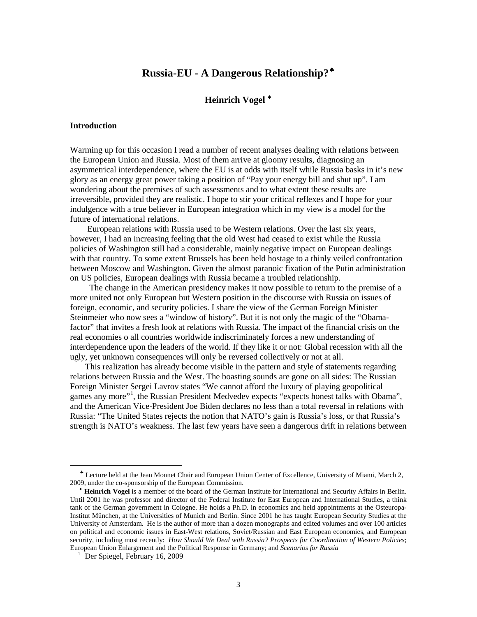## **Russia-EU - A Dangerous Relationship?**[♣](#page-2-0)

## **Heinrich Vogel** [♦](#page-2-1)

#### **Introduction**

Warming up for this occasion I read a number of recent analyses dealing with relations between the European Union and Russia. Most of them arrive at gloomy results, diagnosing an asymmetrical interdependence, where the EU is at odds with itself while Russia basks in it's new glory as an energy great power taking a position of "Pay your energy bill and shut up". I am wondering about the premises of such assessments and to what extent these results are irreversible, provided they are realistic. I hope to stir your critical reflexes and I hope for your indulgence with a true believer in European integration which in my view is a model for the future of international relations.

 European relations with Russia used to be Western relations. Over the last six years, however, I had an increasing feeling that the old West had ceased to exist while the Russia policies of Washington still had a considerable, mainly negative impact on European dealings with that country. To some extent Brussels has been held hostage to a thinly veiled confrontation between Moscow and Washington. Given the almost paranoic fixation of the Putin administration on US policies, European dealings with Russia became a troubled relationship.

 The change in the American presidency makes it now possible to return to the premise of a more united not only European but Western position in the discourse with Russia on issues of foreign, economic, and security policies. I share the view of the German Foreign Minister Steinmeier who now sees a "window of history". But it is not only the magic of the "Obamafactor" that invites a fresh look at relations with Russia. The impact of the financial crisis on the real economies o all countries worldwide indiscriminately forces a new understanding of interdependence upon the leaders of the world. If they like it or not: Global recession with all the ugly, yet unknown consequences will only be reversed collectively or not at all.

 This realization has already become visible in the pattern and style of statements regarding relations between Russia and the West. The boasting sounds are gone on all sides: The Russian Foreign Minister Sergei Lavrov states "We cannot afford the luxury of playing geopolitical games any more"<sup>[1](#page-2-2)</sup>, the Russian President Medvedev expects "expects honest talks with Obama", and the American Vice-President Joe Biden declares no less than a total reversal in relations with Russia: "The United States rejects the notion that NATO's gain is Russia's loss, or that Russia's strength is NATO's weakness. The last few years have seen a dangerous drift in relations between

<span id="page-2-0"></span>♣ Lecture held at the Jean Monnet Chair and European Union Center of Excellence, University of Miami, March 2, 2009, under the co-sponsorship of the European Commission.

<span id="page-2-1"></span>♦ **Heinrich Vogel** is a member of the board of the German Institute for International and Security Affairs in Berlin. Until 2001 he was professor and director of the Federal Institute for East European and International Studies, a think tank of the German government in Cologne. He holds a Ph.D. in economics and held appointments at the Osteuropa-Institut München, at the Universities of Munich and Berlin. Since 2001 he has taught European Security Studies at the University of Amsterdam. He is the author of more than a dozen monographs and edited volumes and over 100 articles on political and economic issues in East-West relations, Soviet/Russian and East European economies, and European security, including most recently: *[How Should We Deal with Russia?](http://www.gbn.com/ArticleDisplayServlet.srv?aid=27731) Prospects for Coordination of Western Policies*; [European Union Enlargement and the Political Response in Germany;](http://www.gbn.com/ArticleDisplayServlet.srv?aid=935) and *[Scenarios for Russia](http://www.gbn.com/ArticleDisplayServlet.srv?aid=1085)*

<span id="page-2-2"></span> $1$  Der Spiegel, February 16, 2009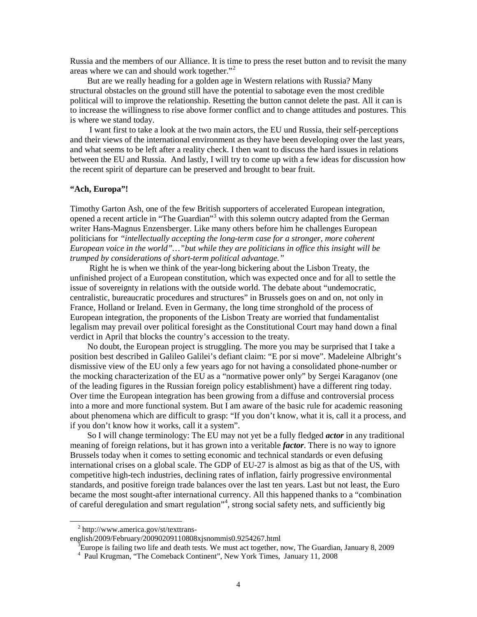Russia and the members of our Alliance. It is time to press the reset button and to revisit the many areas where we can and should work together."[2](#page-3-0)

 But are we really heading for a golden age in Western relations with Russia? Many structural obstacles on the ground still have the potential to sabotage even the most credible political will to improve the relationship. Resetting the button cannot delete the past. All it can is to increase the willingness to rise above former conflict and to change attitudes and postures. This is where we stand today.

 I want first to take a look at the two main actors, the EU und Russia, their self-perceptions and their views of the international environment as they have been developing over the last years, and what seems to be left after a reality check. I then want to discuss the hard issues in relations between the EU and Russia. And lastly, I will try to come up with a few ideas for discussion how the recent spirit of departure can be preserved and brought to bear fruit.

## **"Ach, Europa"!**

Timothy Garton Ash, one of the few British supporters of accelerated European integration, opened a recent article in "The Guardian"<sup>[3](#page-3-1)</sup> with this solemn outcry adapted from the German writer Hans-Magnus Enzensberger. Like many others before him he challenges European politicians for *"intellectually accepting the long-term case for a stronger, more coherent European voice in the world"…"but while they are politicians in office this insight will be trumped by considerations of short-term political advantage."*

 Right he is when we think of the year-long bickering about the Lisbon Treaty, the unfinished project of a European constitution, which was expected once and for all to settle the issue of sovereignty in relations with the outside world. The debate about "undemocratic, centralistic, bureaucratic procedures and structures" in Brussels goes on and on, not only in France, Holland or Ireland. Even in Germany, the long time stronghold of the process of European integration, the proponents of the Lisbon Treaty are worried that fundamentalist legalism may prevail over political foresight as the Constitutional Court may hand down a final verdict in April that blocks the country's accession to the treaty.

 No doubt, the European project is struggling. The more you may be surprised that I take a position best described in Galileo Galilei's defiant claim: "E por si move". Madeleine Albright's dismissive view of the EU only a few years ago for not having a consolidated phone-number or the mocking characterization of the EU as a "normative power only" by Sergei Karaganov (one of the leading figures in the Russian foreign policy establishment) have a different ring today. Over time the European integration has been growing from a diffuse and controversial process into a more and more functional system. But I am aware of the basic rule for academic reasoning about phenomena which are difficult to grasp: "If you don't know, what it is, call it a process, and if you don't know how it works, call it a system".

 So I will change terminology: The EU may not yet be a fully fledged *actor* in any traditional meaning of foreign relations, but it has grown into a veritable *factor*. There is no way to ignore Brussels today when it comes to setting economic and technical standards or even defusing international crises on a global scale. The GDP of EU-27 is almost as big as that of the US, with competitive high-tech industries, declining rates of inflation, fairly progressive environmental standards, and positive foreign trade balances over the last ten years. Last but not least, the Euro became the most sought-after international currency. All this happened thanks to a "combination of careful deregulation and smart regulation" [4](#page-3-2) , strong social safety nets, and sufficiently big

<sup>2</sup> http://www.america.gov/st/texttrans-

<span id="page-3-1"></span><span id="page-3-0"></span>english/2009/February/20090209110808xjsnommis0.9254267.html

<sup>&</sup>lt;sup>3</sup>Europe is failing two life and death tests. We must act together, now, The Guardian, January 8, 2009

<span id="page-3-2"></span><sup>4</sup> Paul Krugman, "The Comeback Continent", New York Times, January 11, 2008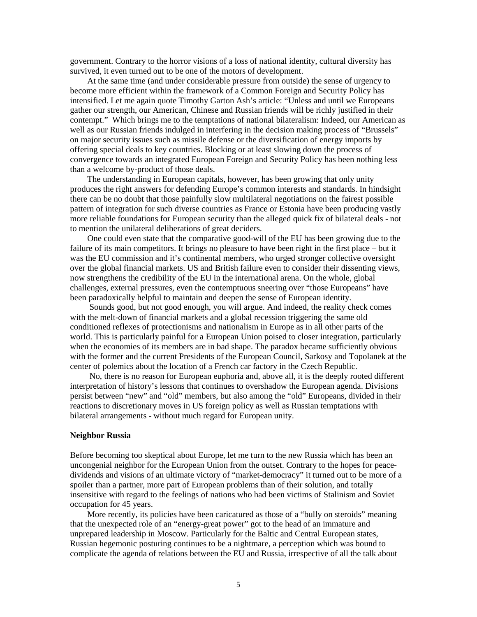government. Contrary to the horror visions of a loss of national identity, cultural diversity has survived, it even turned out to be one of the motors of development.

 At the same time (and under considerable pressure from outside) the sense of urgency to become more efficient within the framework of a Common Foreign and Security Policy has intensified. Let me again quote Timothy Garton Ash's article: "Unless and until we Europeans gather our strength, our American, Chinese and Russian friends will be richly justified in their contempt." Which brings me to the temptations of national bilateralism: Indeed, our American as well as our Russian friends indulged in interfering in the decision making process of "Brussels" on major security issues such as missile defense or the diversification of energy imports by offering special deals to key countries. Blocking or at least slowing down the process of convergence towards an integrated European Foreign and Security Policy has been nothing less than a welcome by-product of those deals.

 The understanding in European capitals, however, has been growing that only unity produces the right answers for defending Europe's common interests and standards. In hindsight there can be no doubt that those painfully slow multilateral negotiations on the fairest possible pattern of integration for such diverse countries as France or Estonia have been producing vastly more reliable foundations for European security than the alleged quick fix of bilateral deals - not to mention the unilateral deliberations of great deciders.

 One could even state that the comparative good-will of the EU has been growing due to the failure of its main competitors. It brings no pleasure to have been right in the first place – but it was the EU commission and it's continental members, who urged stronger collective oversight over the global financial markets. US and British failure even to consider their dissenting views, now strengthens the credibility of the EU in the international arena. On the whole, global challenges, external pressures, even the contemptuous sneering over "those Europeans" have been paradoxically helpful to maintain and deepen the sense of European identity.

 Sounds good, but not good enough, you will argue. And indeed, the reality check comes with the melt-down of financial markets and a global recession triggering the same old conditioned reflexes of protectionisms and nationalism in Europe as in all other parts of the world. This is particularly painful for a European Union poised to closer integration, particularly when the economies of its members are in bad shape. The paradox became sufficiently obvious with the former and the current Presidents of the European Council, Sarkosy and Topolanek at the center of polemics about the location of a French car factory in the Czech Republic.

 No, there is no reason for European euphoria and, above all, it is the deeply rooted different interpretation of history's lessons that continues to overshadow the European agenda. Divisions persist between "new" and "old" members, but also among the "old" Europeans, divided in their reactions to discretionary moves in US foreign policy as well as Russian temptations with bilateral arrangements - without much regard for European unity.

## **Neighbor Russia**

Before becoming too skeptical about Europe, let me turn to the new Russia which has been an uncongenial neighbor for the European Union from the outset. Contrary to the hopes for peacedividends and visions of an ultimate victory of "market-democracy" it turned out to be more of a spoiler than a partner, more part of European problems than of their solution, and totally insensitive with regard to the feelings of nations who had been victims of Stalinism and Soviet occupation for 45 years.

 More recently, its policies have been caricatured as those of a "bully on steroids" meaning that the unexpected role of an "energy-great power" got to the head of an immature and unprepared leadership in Moscow. Particularly for the Baltic and Central European states, Russian hegemonic posturing continues to be a nightmare, a perception which was bound to complicate the agenda of relations between the EU and Russia, irrespective of all the talk about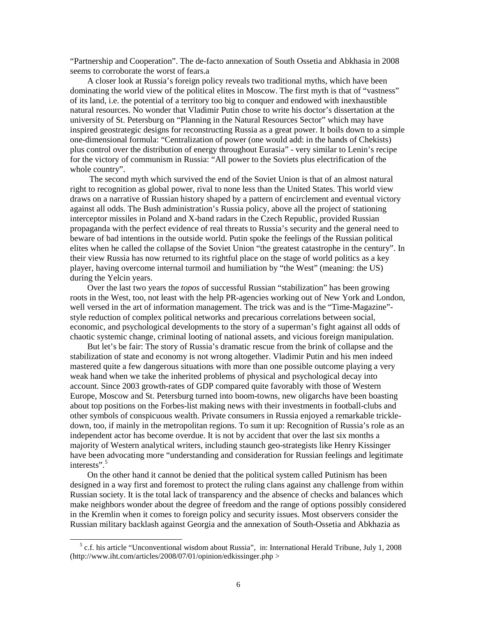"Partnership and Cooperation". The de-facto annexation of South Ossetia and Abkhasia in 2008 seems to corroborate the worst of fears.a

 A closer look at Russia's foreign policy reveals two traditional myths, which have been dominating the world view of the political elites in Moscow. The first myth is that of "vastness" of its land, i.e. the potential of a territory too big to conquer and endowed with inexhaustible natural resources. No wonder that Vladimir Putin chose to write his doctor's dissertation at the university of St. Petersburg on "Planning in the Natural Resources Sector" which may have inspired geostrategic designs for reconstructing Russia as a great power. It boils down to a simple one-dimensional formula: "Centralization of power (one would add: in the hands of Chekists) plus control over the distribution of energy throughout Eurasia" - very similar to Lenin's recipe for the victory of communism in Russia: "All power to the Soviets plus electrification of the whole country".

 The second myth which survived the end of the Soviet Union is that of an almost natural right to recognition as global power, rival to none less than the United States. This world view draws on a narrative of Russian history shaped by a pattern of encirclement and eventual victory against all odds. The Bush administration's Russia policy, above all the project of stationing interceptor missiles in Poland and X-band radars in the Czech Republic, provided Russian propaganda with the perfect evidence of real threats to Russia's security and the general need to beware of bad intentions in the outside world. Putin spoke the feelings of the Russian political elites when he called the collapse of the Soviet Union "the greatest catastrophe in the century". In their view Russia has now returned to its rightful place on the stage of world politics as a key player, having overcome internal turmoil and humiliation by "the West" (meaning: the US) during the Yelcin years.

 Over the last two years the *topos* of successful Russian "stabilization" has been growing roots in the West, too, not least with the help PR-agencies working out of New York and London, well versed in the art of information management. The trick was and is the "Time-Magazine" style reduction of complex political networks and precarious correlations between social, economic, and psychological developments to the story of a superman's fight against all odds of chaotic systemic change, criminal looting of national assets, and vicious foreign manipulation.

 But let's be fair: The story of Russia's dramatic rescue from the brink of collapse and the stabilization of state and economy is not wrong altogether. Vladimir Putin and his men indeed mastered quite a few dangerous situations with more than one possible outcome playing a very weak hand when we take the inherited problems of physical and psychological decay into account. Since 2003 growth-rates of GDP compared quite favorably with those of Western Europe, Moscow and St. Petersburg turned into boom-towns, new oligarchs have been boasting about top positions on the Forbes-list making news with their investments in football-clubs and other symbols of conspicuous wealth. Private consumers in Russia enjoyed a remarkable trickledown, too, if mainly in the metropolitan regions. To sum it up: Recognition of Russia's role as an independent actor has become overdue. It is not by accident that over the last six months a majority of Western analytical writers, including staunch geo-strategists like Henry Kissinger have been advocating more "understanding and consideration for Russian feelings and legitimate interests".<sup>[5](#page-5-0)</sup>

 On the other hand it cannot be denied that the political system called Putinism has been designed in a way first and foremost to protect the ruling clans against any challenge from within Russian society. It is the total lack of transparency and the absence of checks and balances which make neighbors wonder about the degree of freedom and the range of options possibly considered in the Kremlin when it comes to foreign policy and security issues. Most observers consider the Russian military backlash against Georgia and the annexation of South-Ossetia and Abkhazia as

<span id="page-5-0"></span> $<sup>5</sup>$  c.f. his article "Unconventional wisdom about Russia", in: International Herald Tribune, July 1, 2008</sup> (http://www.iht.com/articles/2008/07/01/opinion/edkissinger.php >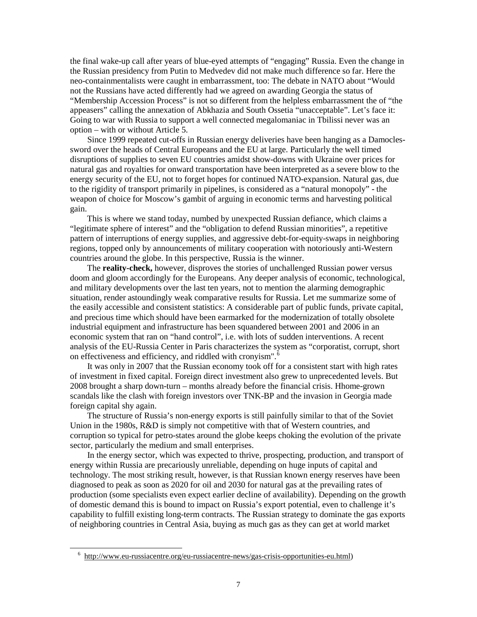the final wake-up call after years of blue-eyed attempts of "engaging" Russia. Even the change in the Russian presidency from Putin to Medvedev did not make much difference so far. Here the neo-containmentalists were caught in embarrassment, too: The debate in NATO about "Would not the Russians have acted differently had we agreed on awarding Georgia the status of "Membership Accession Process" is not so different from the helpless embarrassment the of "the appeasers" calling the annexation of Abkhazia and South Ossetia "unacceptable". Let's face it: Going to war with Russia to support a well connected megalomaniac in Tbilissi never was an option – with or without Article 5.

 Since 1999 repeated cut-offs in Russian energy deliveries have been hanging as a Damoclessword over the heads of Central Europeans and the EU at large. Particularly the well timed disruptions of supplies to seven EU countries amidst show-downs with Ukraine over prices for natural gas and royalties for onward transportation have been interpreted as a severe blow to the energy security of the EU, not to forget hopes for continued NATO-expansion. Natural gas, due to the rigidity of transport primarily in pipelines, is considered as a "natural monopoly" - the weapon of choice for Moscow's gambit of arguing in economic terms and harvesting political gain.

 This is where we stand today, numbed by unexpected Russian defiance, which claims a "legitimate sphere of interest" and the "obligation to defend Russian minorities", a repetitive pattern of interruptions of energy supplies, and aggressive debt-for-equity-swaps in neighboring regions, topped only by announcements of military cooperation with notoriously anti-Western countries around the globe. In this perspective, Russia is the winner.

 The **reality-check,** however, disproves the stories of unchallenged Russian power versus doom and gloom accordingly for the Europeans. Any deeper analysis of economic, technological, and military developments over the last ten years, not to mention the alarming demographic situation, render astoundingly weak comparative results for Russia. Let me summarize some of the easily accessible and consistent statistics: A considerable part of public funds, private capital, and precious time which should have been earmarked for the modernization of totally obsolete industrial equipment and infrastructure has been squandered between 2001 and 2006 in an economic system that ran on "hand control", i.e. with lots of sudden interventions. A recent analysis of the EU-Russia Center in Paris characterizes the system as "corporatist, corrupt, short on effectiveness and efficiency, and riddled with cronyism".<sup>[6](#page-6-0)</sup>

 It was only in 2007 that the Russian economy took off for a consistent start with high rates of investment in fixed capital. Foreign direct investment also grew to unprecedented levels. But 2008 brought a sharp down-turn – months already before the financial crisis. Hhome-grown scandals like the clash with foreign investors over TNK-BP and the invasion in Georgia made foreign capital shy again.

 The structure of Russia's non-energy exports is still painfully similar to that of the Soviet Union in the 1980s, R&D is simply not competitive with that of Western countries, and corruption so typical for petro-states around the globe keeps choking the evolution of the private sector, particularly the medium and small enterprises.

 In the energy sector, which was expected to thrive, prospecting, production, and transport of energy within Russia are precariously unreliable, depending on huge inputs of capital and technology. The most striking result, however, is that Russian known energy reserves have been diagnosed to peak as soon as 2020 for oil and 2030 for natural gas at the prevailing rates of production (some specialists even expect earlier decline of availability). Depending on the growth of domestic demand this is bound to impact on Russia's export potential, even to challenge it's capability to fulfill existing long-term contracts. The Russian strategy to dominate the gas exports of neighboring countries in Central Asia, buying as much gas as they can get at world market

<span id="page-6-0"></span><sup>6</sup> [http://www.eu-russiacentre.org/eu-russiacentre-news/gas-crisis-opportunities-eu.html\)](http://www.eu-russiacentre.org/eu-russiacentre-news/gas-crisis-opportunities-eu.html)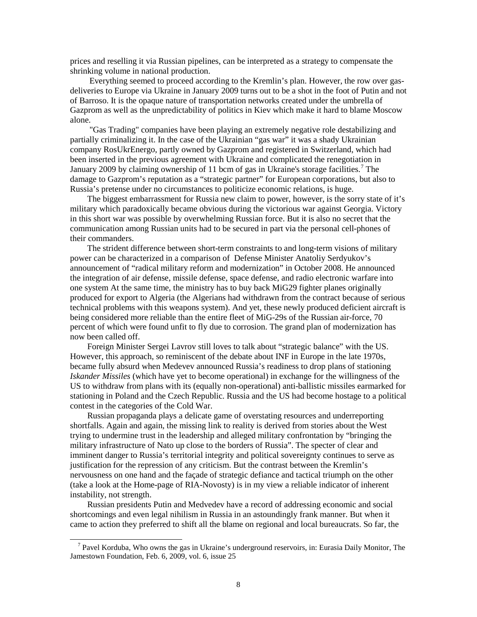prices and reselling it via Russian pipelines, can be interpreted as a strategy to compensate the shrinking volume in national production.

 Everything seemed to proceed according to the Kremlin's plan. However, the row over gasdeliveries to Europe via Ukraine in January 2009 turns out to be a shot in the foot of Putin and not of Barroso. It is the opaque nature of transportation networks created under the umbrella of Gazprom as well as the unpredictability of politics in Kiev which make it hard to blame Moscow alone.

 "Gas Trading" companies have been playing an extremely negative role destabilizing and partially criminalizing it. In the case of the Ukrainian "gas war" it was a shady Ukrainian company RosUkrEnergo, partly owned by Gazprom and registered in Switzerland, which had been inserted in the previous agreement with Ukraine and complicated the renegotiation in January 2009 by claiming ownership of 11 bcm of gas in Ukraine's storage facilities.<sup>[7](#page-7-0)</sup> The damage to Gazprom's reputation as a "strategic partner" for European corporations, but also to Russia's pretense under no circumstances to politicize economic relations, is huge.

 The biggest embarrassment for Russia new claim to power, however, is the sorry state of it's military which paradoxically became obvious during the victorious war against Georgia. Victory in this short war was possible by overwhelming Russian force. But it is also no secret that the communication among Russian units had to be secured in part via the personal cell-phones of their commanders.

 The strident difference between short-term constraints to and long-term visions of military power can be characterized in a comparison of Defense Minister Anatoliy Serdyukov's announcement of "radical military reform and modernization" in October 2008. He announced the integration of air defense, missile defense, space defense, and radio electronic warfare into one system At the same time, the ministry has to buy back MiG29 fighter planes originally produced for export to Algeria (the Algerians had withdrawn from the contract because of serious technical problems with this weapons system). And yet, these newly produced deficient aircraft is being considered more reliable than the entire fleet of MiG-29s of the Russian air-force, 70 percent of which were found unfit to fly due to corrosion. The grand plan of modernization has now been called off.

 Foreign Minister Sergei Lavrov still loves to talk about "strategic balance" with the US. However, this approach, so reminiscent of the debate about INF in Europe in the late 1970s, became fully absurd when Medevev announced Russia's readiness to drop plans of stationing *Iskander Missiles* (which have yet to become operational) in exchange for the willingness of the US to withdraw from plans with its (equally non-operational) anti-ballistic missiles earmarked for stationing in Poland and the Czech Republic. Russia and the US had become hostage to a political contest in the categories of the Cold War.

 Russian propaganda plays a delicate game of overstating resources and underreporting shortfalls. Again and again, the missing link to reality is derived from stories about the West trying to undermine trust in the leadership and alleged military confrontation by "bringing the military infrastructure of Nato up close to the borders of Russia". The specter of clear and imminent danger to Russia's territorial integrity and political sovereignty continues to serve as justification for the repression of any criticism. But the contrast between the Kremlin's nervousness on one hand and the façade of strategic defiance and tactical triumph on the other (take a look at the Home-page of RIA-Novosty) is in my view a reliable indicator of inherent instability, not strength.

 Russian presidents Putin and Medvedev have a record of addressing economic and social shortcomings and even legal nihilism in Russia in an astoundingly frank manner. But when it came to action they preferred to shift all the blame on regional and local bureaucrats. So far, the

<span id="page-7-0"></span> $<sup>7</sup>$  Pavel Korduba, Who owns the gas in Ukraine's underground reservoirs, in: Eurasia Daily Monitor, The</sup> Jamestown Foundation, Feb. 6, 2009, vol. 6, issue 25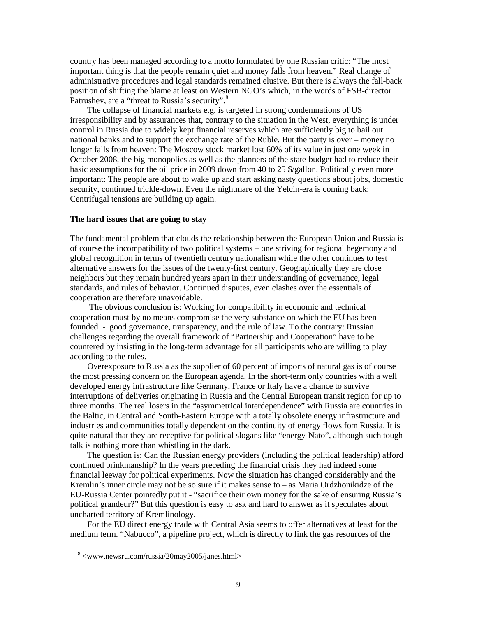country has been managed according to a motto formulated by one Russian critic: "The most important thing is that the people remain quiet and money falls from heaven." Real change of administrative procedures and legal standards remained elusive. But there is always the fall-back position of shifting the blame at least on Western NGO's which, in the words of FSB-director Patrushev, are a "threat to Russia's security".<sup>[8](#page-8-0)</sup>

 The collapse of financial markets e.g. is targeted in strong condemnations of US irresponsibility and by assurances that, contrary to the situation in the West, everything is under control in Russia due to widely kept financial reserves which are sufficiently big to bail out national banks and to support the exchange rate of the Ruble. But the party is over – money no longer falls from heaven: The Moscow stock market lost 60% of its value in just one week in October 2008, the big monopolies as well as the planners of the state-budget had to reduce their basic assumptions for the oil price in 2009 down from 40 to 25 \$/gallon. Politically even more important: The people are about to wake up and start asking nasty questions about jobs, domestic security, continued trickle-down. Even the nightmare of the Yelcin-era is coming back: Centrifugal tensions are building up again.

## **The hard issues that are going to stay**

The fundamental problem that clouds the relationship between the European Union and Russia is of course the incompatibility of two political systems – one striving for regional hegemony and global recognition in terms of twentieth century nationalism while the other continues to test alternative answers for the issues of the twenty-first century. Geographically they are close neighbors but they remain hundred years apart in their understanding of governance, legal standards, and rules of behavior. Continued disputes, even clashes over the essentials of cooperation are therefore unavoidable.

 The obvious conclusion is: Working for compatibility in economic and technical cooperation must by no means compromise the very substance on which the EU has been founded - good governance, transparency, and the rule of law. To the contrary: Russian challenges regarding the overall framework of "Partnership and Cooperation" have to be countered by insisting in the long-term advantage for all participants who are willing to play according to the rules.

 Overexposure to Russia as the supplier of 60 percent of imports of natural gas is of course the most pressing concern on the European agenda. In the short-term only countries with a well developed energy infrastructure like Germany, France or Italy have a chance to survive interruptions of deliveries originating in Russia and the Central European transit region for up to three months. The real losers in the "asymmetrical interdependence" with Russia are countries in the Baltic, in Central and South-Eastern Europe with a totally obsolete energy infrastructure and industries and communities totally dependent on the continuity of energy flows fom Russia. It is quite natural that they are receptive for political slogans like "energy-Nato", although such tough talk is nothing more than whistling in the dark.

 The question is: Can the Russian energy providers (including the political leadership) afford continued brinkmanship? In the years preceding the financial crisis they had indeed some financial leeway for political experiments. Now the situation has changed considerably and the Kremlin's inner circle may not be so sure if it makes sense to – as Maria Ordzhonikidze of the EU-Russia Center pointedly put it - "sacrifice their own money for the sake of ensuring Russia's political grandeur?" But this question is easy to ask and hard to answer as it speculates about uncharted territory of Kremlinology.

 For the EU direct energy trade with Central Asia seems to offer alternatives at least for the medium term. "Nabucco", a pipeline project, which is directly to link the gas resources of the

<span id="page-8-0"></span><sup>8</sup> <www.newsru.com/russia/20may2005/janes.html>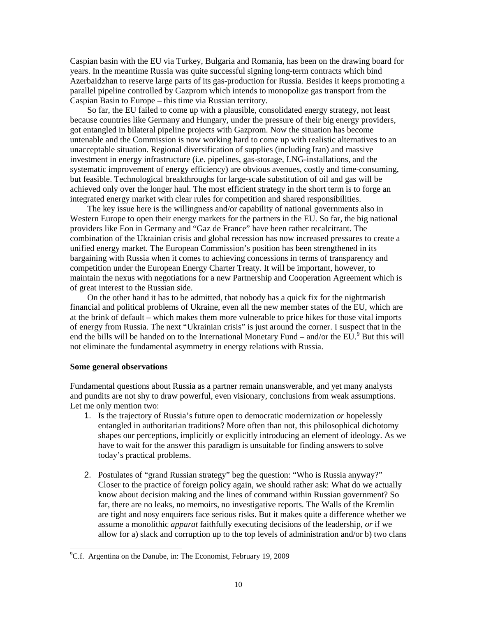Caspian basin with the EU via Turkey, Bulgaria and Romania, has been on the drawing board for years. In the meantime Russia was quite successful signing long-term contracts which bind Azerbaidzhan to reserve large parts of its gas-production for Russia. Besides it keeps promoting a parallel pipeline controlled by Gazprom which intends to monopolize gas transport from the Caspian Basin to Europe – this time via Russian territory.

 So far, the EU failed to come up with a plausible, consolidated energy strategy, not least because countries like Germany and Hungary, under the pressure of their big energy providers, got entangled in bilateral pipeline projects with Gazprom. Now the situation has become untenable and the Commission is now working hard to come up with realistic alternatives to an unacceptable situation. Regional diversification of supplies (including Iran) and massive investment in energy infrastructure (i.e. pipelines, gas-storage, LNG-installations, and the systematic improvement of energy efficiency) are obvious avenues, costly and time-consuming, but feasible. Technological breakthroughs for large-scale substitution of oil and gas will be achieved only over the longer haul. The most efficient strategy in the short term is to forge an integrated energy market with clear rules for competition and shared responsibilities.

 The key issue here is the willingness and/or capability of national governments also in Western Europe to open their energy markets for the partners in the EU. So far, the big national providers like Eon in Germany and "Gaz de France" have been rather recalcitrant. The combination of the Ukrainian crisis and global recession has now increased pressures to create a unified energy market. The European Commission's position has been strengthened in its bargaining with Russia when it comes to achieving concessions in terms of transparency and competition under the European Energy Charter Treaty. It will be important, however, to maintain the nexus with negotiations for a new Partnership and Cooperation Agreement which is of great interest to the Russian side.

 On the other hand it has to be admitted, that nobody has a quick fix for the nightmarish financial and political problems of Ukraine, even all the new member states of the EU, which are at the brink of default – which makes them more vulnerable to price hikes for those vital imports of energy from Russia. The next "Ukrainian crisis" is just around the corner. I suspect that in the end the bills will be handed on to the International Monetary Fund – and/or the  $\overline{EU}$ . But this will not eliminate the fundamental asymmetry in energy relations with Russia.

## **Some general observations**

Fundamental questions about Russia as a partner remain unanswerable, and yet many analysts and pundits are not shy to draw powerful, even visionary, conclusions from weak assumptions. Let me only mention two:

- 1. Is the trajectory of Russia's future open to democratic modernization *or* hopelessly entangled in authoritarian traditions? More often than not, this philosophical dichotomy shapes our perceptions, implicitly or explicitly introducing an element of ideology. As we have to wait for the answer this paradigm is unsuitable for finding answers to solve today's practical problems.
- 2. Postulates of "grand Russian strategy" beg the question: "Who is Russia anyway?" Closer to the practice of foreign policy again, we should rather ask: What do we actually know about decision making and the lines of command within Russian government? So far, there are no leaks, no memoirs, no investigative reports. The Walls of the Kremlin are tight and nosy enquirers face serious risks. But it makes quite a difference whether we assume a monolithic *apparat* faithfully executing decisions of the leadership, *or* if we allow for a) slack and corruption up to the top levels of administration and/or b) two clans

<span id="page-9-0"></span> <sup>9</sup> C.f. Argentina on the Danube, in: The Economist, February 19, 2009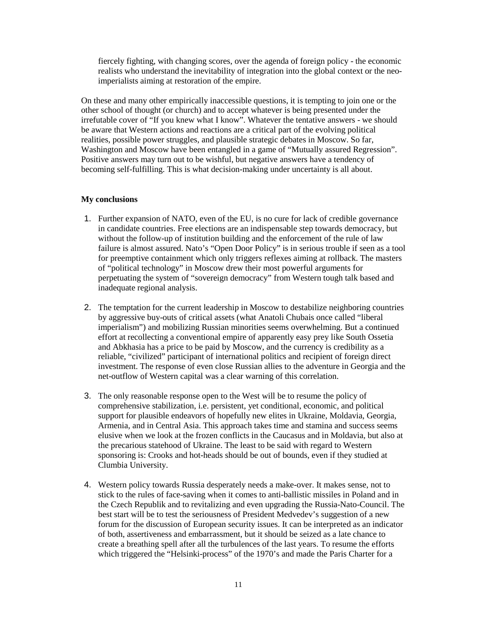fiercely fighting, with changing scores, over the agenda of foreign policy - the economic realists who understand the inevitability of integration into the global context or the neoimperialists aiming at restoration of the empire.

On these and many other empirically inaccessible questions, it is tempting to join one or the other school of thought (or church) and to accept whatever is being presented under the irrefutable cover of "If you knew what I know". Whatever the tentative answers - we should be aware that Western actions and reactions are a critical part of the evolving political realities, possible power struggles, and plausible strategic debates in Moscow. So far, Washington and Moscow have been entangled in a game of "Mutually assured Regression". Positive answers may turn out to be wishful, but negative answers have a tendency of becoming self-fulfilling. This is what decision-making under uncertainty is all about.

## **My conclusions**

- 1. Further expansion of NATO, even of the EU, is no cure for lack of credible governance in candidate countries. Free elections are an indispensable step towards democracy, but without the follow-up of institution building and the enforcement of the rule of law failure is almost assured. Nato's "Open Door Policy" is in serious trouble if seen as a tool for preemptive containment which only triggers reflexes aiming at rollback. The masters of "political technology" in Moscow drew their most powerful arguments for perpetuating the system of "sovereign democracy" from Western tough talk based and inadequate regional analysis.
- 2. The temptation for the current leadership in Moscow to destabilize neighboring countries by aggressive buy-outs of critical assets (what Anatoli Chubais once called "liberal imperialism") and mobilizing Russian minorities seems overwhelming. But a continued effort at recollecting a conventional empire of apparently easy prey like South Ossetia and Abkhasia has a price to be paid by Moscow, and the currency is credibility as a reliable, "civilized" participant of international politics and recipient of foreign direct investment. The response of even close Russian allies to the adventure in Georgia and the net-outflow of Western capital was a clear warning of this correlation.
- 3. The only reasonable response open to the West will be to resume the policy of comprehensive stabilization, i.e. persistent, yet conditional, economic, and political support for plausible endeavors of hopefully new elites in Ukraine, Moldavia, Georgia, Armenia, and in Central Asia. This approach takes time and stamina and success seems elusive when we look at the frozen conflicts in the Caucasus and in Moldavia, but also at the precarious statehood of Ukraine. The least to be said with regard to Western sponsoring is: Crooks and hot-heads should be out of bounds, even if they studied at Clumbia University.
- 4. Western policy towards Russia desperately needs a make-over. It makes sense, not to stick to the rules of face-saving when it comes to anti-ballistic missiles in Poland and in the Czech Republik and to revitalizing and even upgrading the Russia-Nato-Council. The best start will be to test the seriousness of President Medvedev's suggestion of a new forum for the discussion of European security issues. It can be interpreted as an indicator of both, assertiveness and embarrassment, but it should be seized as a late chance to create a breathing spell after all the turbulences of the last years. To resume the efforts which triggered the "Helsinki-process" of the 1970's and made the Paris Charter for a